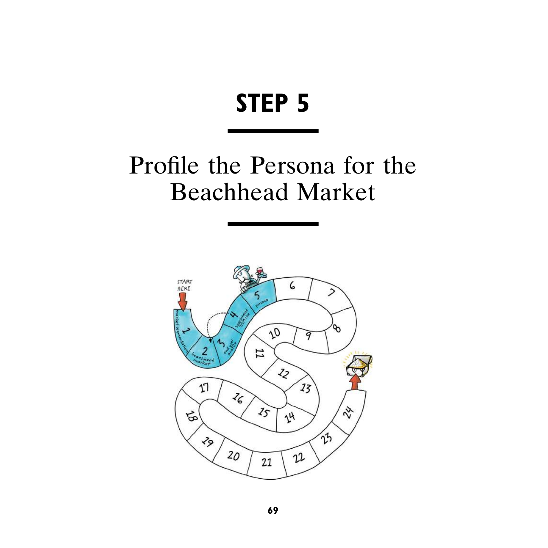# STEP 5

# Profile the Persona for the Beachhead Market

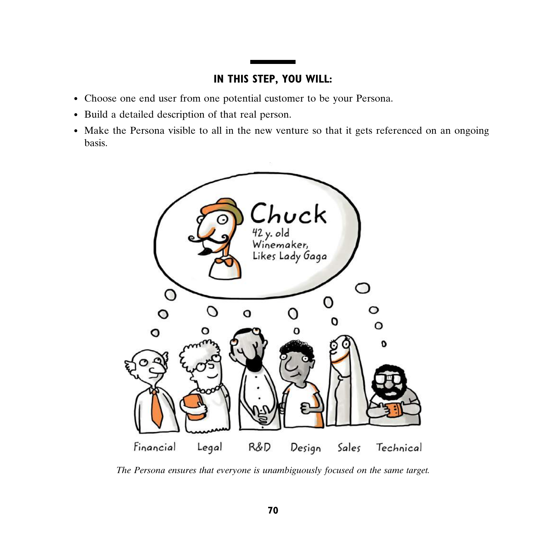## IN THIS STEP, YOU WILL:

- Choose one end user from one potential customer to be your Persona.
- Build a detailed description of that real person.
- Make the Persona visible to all in the new venture so that it gets referenced on an ongoing basis.



The Persona ensures that everyone is unambiguously focused on the same target.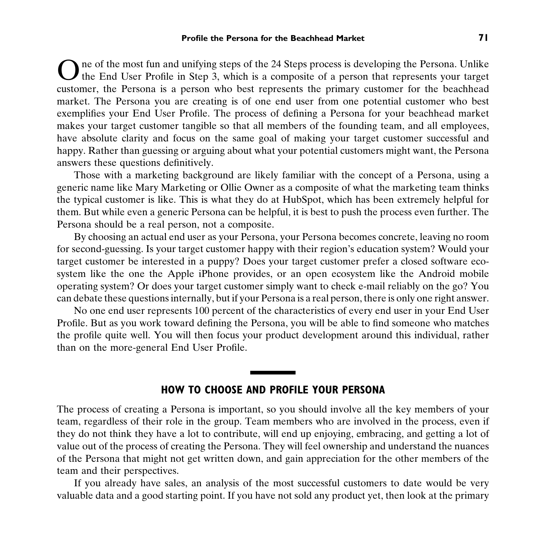One of the most fun and unifying steps of the 24 Steps process is developing the Persona. Unlike<br>the End User Profile in Step 3, which is a composite of a person that represents your target customer, the Persona is a person who best represents the primary customer for the beachhead market. The Persona you are creating is of one end user from one potential customer who best exemplifies your End User Profile. The process of defining a Persona for your beachhead market makes your target customer tangible so that all members of the founding team, and all employees, have absolute clarity and focus on the same goal of making your target customer successful and happy. Rather than guessing or arguing about what your potential customers might want, the Persona answers these questions definitively.

Those with a marketing background are likely familiar with the concept of a Persona, using a generic name like Mary Marketing or Ollie Owner as a composite of what the marketing team thinks the typical customer is like. This is what they do at HubSpot, which has been extremely helpful for them. But while even a generic Persona can be helpful, it is best to push the process even further. The Persona should be a real person, not a composite.

By choosing an actual end user as your Persona, your Persona becomes concrete, leaving no room for second-guessing. Is your target customer happy with their region's education system? Would your target customer be interested in a puppy? Does your target customer prefer a closed software ecosystem like the one the Apple iPhone provides, or an open ecosystem like the Android mobile operating system? Or does your target customer simply want to check e-mail reliably on the go? You can debate these questions internally, but if your Persona is a real person, there is only one right answer.

No one end user represents 100 percent of the characteristics of every end user in your End User Profile. But as you work toward defining the Persona, you will be able to find someone who matches the profile quite well. You will then focus your product development around this individual, rather than on the more-general End User Profile.

## HOW TO CHOOSE AND PROFILE YOUR PERSONA

The process of creating a Persona is important, so you should involve all the key members of your team, regardless of their role in the group. Team members who are involved in the process, even if they do not think they have a lot to contribute, will end up enjoying, embracing, and getting a lot of value out of the process of creating the Persona. They will feel ownership and understand the nuances of the Persona that might not get written down, and gain appreciation for the other members of the team and their perspectives.

If you already have sales, an analysis of the most successful customers to date would be very valuable data and a good starting point. If you have not sold any product yet, then look at the primary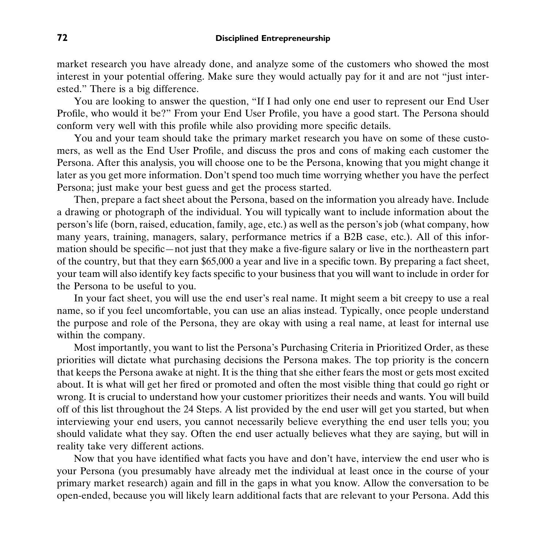market research you have already done, and analyze some of the customers who showed the most interest in your potential offering. Make sure they would actually pay for it and are not "just interested." There is a big difference.

You are looking to answer the question, "If I had only one end user to represent our End User Profile, who would it be?" From your End User Profile, you have a good start. The Persona should conform very well with this profile while also providing more specific details.

You and your team should take the primary market research you have on some of these customers, as well as the End User Profile, and discuss the pros and cons of making each customer the Persona. After this analysis, you will choose one to be the Persona, knowing that you might change it later as you get more information. Don't spend too much time worrying whether you have the perfect Persona; just make your best guess and get the process started.

Then, prepare a fact sheet about the Persona, based on the information you already have. Include a drawing or photograph of the individual. You will typically want to include information about the person's life (born, raised, education, family, age, etc.) as well as the person's job (what company, how many years, training, managers, salary, performance metrics if a B2B case, etc.). All of this information should be specific—not just that they make a five-figure salary or live in the northeastern part of the country, but that they earn \$65,000 a year and live in a specific town. By preparing a fact sheet, your team will also identify key facts specific to your business that you will want to include in order for the Persona to be useful to you.

In your fact sheet, you will use the end user's real name. It might seem a bit creepy to use a real name, so if you feel uncomfortable, you can use an alias instead. Typically, once people understand the purpose and role of the Persona, they are okay with using a real name, at least for internal use within the company.

Most importantly, you want to list the Persona's Purchasing Criteria in Prioritized Order, as these priorities will dictate what purchasing decisions the Persona makes. The top priority is the concern that keeps the Persona awake at night. It is the thing that she either fears the most or gets most excited about. It is what will get her fired or promoted and often the most visible thing that could go right or wrong. It is crucial to understand how your customer prioritizes their needs and wants. You will build off of this list throughout the 24 Steps. A list provided by the end user will get you started, but when interviewing your end users, you cannot necessarily believe everything the end user tells you; you should validate what they say. Often the end user actually believes what they are saying, but will in reality take very different actions.

Now that you have identified what facts you have and don't have, interview the end user who is your Persona (you presumably have already met the individual at least once in the course of your primary market research) again and fill in the gaps in what you know. Allow the conversation to be open-ended, because you will likely learn additional facts that are relevant to your Persona. Add this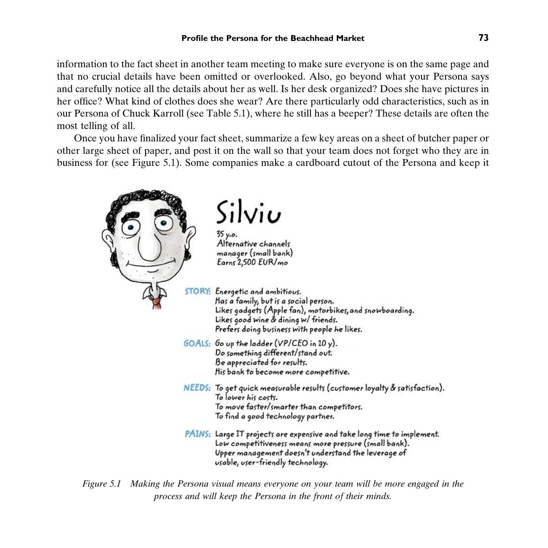information to the fact sheet in another team meeting to make sure everyone is on the same page and that no crucial details have been omitted or overlooked. Also, go beyond what your Persona says and carefully notice all the details about her as well. Is her desk organized? Does she have pictures in her office? What kind of clothes does she wear? Are there particularly odd characteristics, such as in our Persona of Chuck Karroll (see Table 5.1), where he still has a beeper? These details are often the most telling of all.

Once you have finalized your fact sheet, summarize a few key areas on a sheet of butcher paper or other large sheet of paper, and post it on the wall so that your team does not forget who they are in business for (see Figure 5.1). Some companies make a cardboard cutout of the Persona and keep it

| Silviu<br>35 y.o.<br>Alternative channels<br>manager (small bank)<br>Earns 2,500 EUR/mo                                                                                                                                      |
|------------------------------------------------------------------------------------------------------------------------------------------------------------------------------------------------------------------------------|
| STORY: Energetic and ambitious.<br>Has a family, but is a social person.<br>Likes gadgets (Apple fan), motorbikes, and snowboarding.<br>Likes good wine & dining w/ friends.<br>Prefers doing business with people he likes. |
| GOALS: Go up the ladder (VP/CEO in 10 y).<br>Do something different/stand out.<br>Be appreciated for results.<br>His bank to become more competitive.                                                                        |
| NEEDS: To get quick measurable results (customer loyalty & satisfaction).<br>To lower his costs.<br>To move faster/smarter than competitors.<br>To find a good technology partner.                                           |
| PAINS: Large IT projects are expensive and take long time to implement.<br>Low competitiveness means more pressure (small bank).<br>Upper management doesn't understand the leverage of<br>usable, user-friendly technology. |

Figure 5.1 Making the Persona visual means everyone on your team will be more engaged in the process and will keep the Persona in the front of their minds.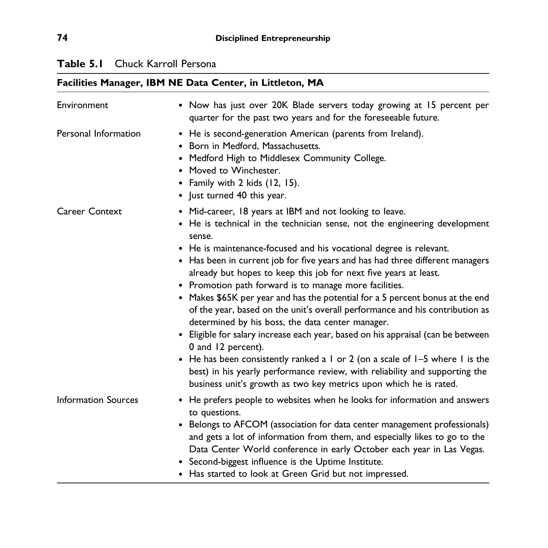## Table 5.1 Chuck Karroll Persona

## Facilities Manager, IBM NE Data Center, in Littleton, MA

| Environment                | • Now has just over 20K Blade servers today growing at 15 percent per<br>quarter for the past two years and for the foreseeable future.                                                                                                                                                                                                                                                                                                                                                                                                                                                                                                                                                                                                                                                                                                                                                                                                                                                                 |
|----------------------------|---------------------------------------------------------------------------------------------------------------------------------------------------------------------------------------------------------------------------------------------------------------------------------------------------------------------------------------------------------------------------------------------------------------------------------------------------------------------------------------------------------------------------------------------------------------------------------------------------------------------------------------------------------------------------------------------------------------------------------------------------------------------------------------------------------------------------------------------------------------------------------------------------------------------------------------------------------------------------------------------------------|
| Personal Information       | • He is second-generation American (parents from Ireland).<br>• Born in Medford, Massachusetts.<br>• Medford High to Middlesex Community College.<br>• Moved to Winchester.<br>• Family with 2 kids (12, 15).<br>• Just turned 40 this year.                                                                                                                                                                                                                                                                                                                                                                                                                                                                                                                                                                                                                                                                                                                                                            |
| <b>Career Context</b>      | • Mid-career, 18 years at IBM and not looking to leave.<br>• He is technical in the technician sense, not the engineering development<br>sense.<br>• He is maintenance-focused and his vocational degree is relevant.<br>• Has been in current job for five years and has had three different managers<br>already but hopes to keep this job for next five years at least.<br>• Promotion path forward is to manage more facilities.<br>• Makes \$65K per year and has the potential for a 5 percent bonus at the end<br>of the year, based on the unit's overall performance and his contribution as<br>determined by his boss, the data center manager.<br>• Eligible for salary increase each year, based on his appraisal (can be between<br>0 and 12 percent).<br>• He has been consistently ranked a 1 or 2 (on a scale of 1-5 where 1 is the<br>best) in his yearly performance review, with reliability and supporting the<br>business unit's growth as two key metrics upon which he is rated. |
| <b>Information Sources</b> | • He prefers people to websites when he looks for information and answers<br>to questions.<br>• Belongs to AFCOM (association for data center management professionals)<br>and gets a lot of information from them, and especially likes to go to the<br>Data Center World conference in early October each year in Las Vegas.<br>• Second-biggest influence is the Uptime Institute.<br>• Has started to look at Green Grid but not impressed.                                                                                                                                                                                                                                                                                                                                                                                                                                                                                                                                                         |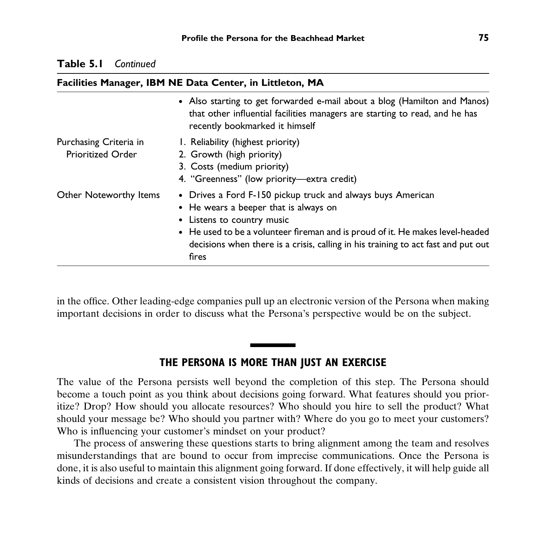### Table 5.1 Continued

|                                                    | • Also starting to get forwarded e-mail about a blog (Hamilton and Manos)<br>that other influential facilities managers are starting to read, and he has<br>recently bookmarked it himself                                                                                                                        |
|----------------------------------------------------|-------------------------------------------------------------------------------------------------------------------------------------------------------------------------------------------------------------------------------------------------------------------------------------------------------------------|
| Purchasing Criteria in<br><b>Prioritized Order</b> | I. Reliability (highest priority)<br>2. Growth (high priority)<br>3. Costs (medium priority)<br>4. "Greenness" (low priority-extra credit)                                                                                                                                                                        |
| Other Noteworthy Items                             | • Drives a Ford F-150 pickup truck and always buys American<br>• He wears a beeper that is always on<br>• Listens to country music<br>• He used to be a volunteer fireman and is proud of it. He makes level-headed<br>decisions when there is a crisis, calling in his training to act fast and put out<br>fires |

in the office. Other leading-edge companies pull up an electronic version of the Persona when making important decisions in order to discuss what the Persona's perspective would be on the subject.

## THE PERSONA IS MORE THAN JUST AN EXERCISE

The value of the Persona persists well beyond the completion of this step. The Persona should become a touch point as you think about decisions going forward. What features should you prioritize? Drop? How should you allocate resources? Who should you hire to sell the product? What should your message be? Who should you partner with? Where do you go to meet your customers? Who is influencing your customer's mindset on your product?

The process of answering these questions starts to bring alignment among the team and resolves misunderstandings that are bound to occur from imprecise communications. Once the Persona is done, it is also useful to maintain this alignment going forward. If done effectively, it will help guide all kinds of decisions and create a consistent vision throughout the company.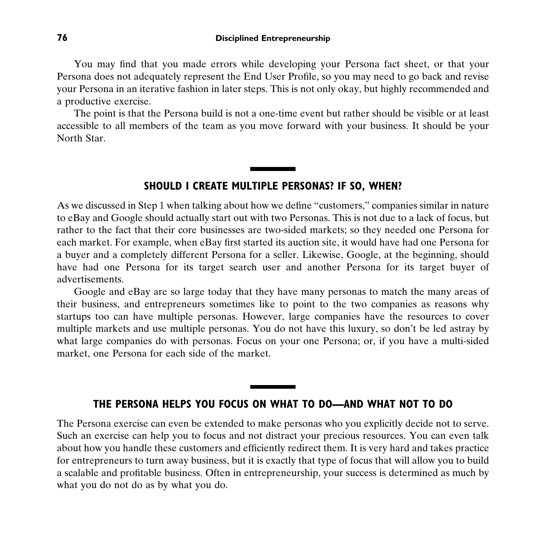#### 76 Disciplined Entrepreneurship

You may find that you made errors while developing your Persona fact sheet, or that your Persona does not adequately represent the End User Profile, so you may need to go back and revise your Persona in an iterative fashion in later steps. This is not only okay, but highly recommended and a productive exercise.

The point is that the Persona build is not a one-time event but rather should be visible or at least accessible to all members of the team as you move forward with your business. It should be your North Star.

## SHOULD I CREATE MULTIPLE PERSONAS? IF SO, WHEN?

As we discussed in Step 1 when talking about how we define "customers," companies similar in nature to eBay and Google should actually start out with two Personas. This is not due to a lack of focus, but rather to the fact that their core businesses are two-sided markets; so they needed one Persona for each market. For example, when eBay first started its auction site, it would have had one Persona for a buyer and a completely different Persona for a seller. Likewise, Google, at the beginning, should have had one Persona for its target search user and another Persona for its target buyer of advertisements.

Google and eBay are so large today that they have many personas to match the many areas of their business, and entrepreneurs sometimes like to point to the two companies as reasons why startups too can have multiple personas. However, large companies have the resources to cover multiple markets and use multiple personas. You do not have this luxury, so don't be led astray by what large companies do with personas. Focus on your one Persona; or, if you have a multi-sided market, one Persona for each side of the market.

## THE PERSONA HELPS YOU FOCUS ON WHAT TO DO—AND WHAT NOT TO DO

The Persona exercise can even be extended to make personas who you explicitly decide not to serve. Such an exercise can help you to focus and not distract your precious resources. You can even talk about how you handle these customers and efficiently redirect them. It is very hard and takes practice for entrepreneurs to turn away business, but it is exactly that type of focus that will allow you to build a scalable and profitable business. Often in entrepreneurship, your success is determined as much by what you do not do as by what you do.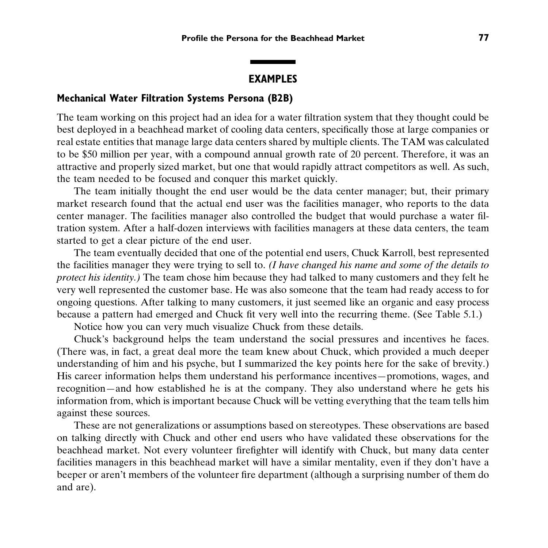#### EXAMPLES

#### Mechanical Water Filtration Systems Persona (B2B)

The team working on this project had an idea for a water filtration system that they thought could be best deployed in a beachhead market of cooling data centers, specifically those at large companies or real estate entities that manage large data centers shared by multiple clients. The TAM was calculated to be \$50 million per year, with a compound annual growth rate of 20 percent. Therefore, it was an attractive and properly sized market, but one that would rapidly attract competitors as well. As such, the team needed to be focused and conquer this market quickly.

The team initially thought the end user would be the data center manager; but, their primary market research found that the actual end user was the facilities manager, who reports to the data center manager. The facilities manager also controlled the budget that would purchase a water filtration system. After a half-dozen interviews with facilities managers at these data centers, the team started to get a clear picture of the end user.

The team eventually decided that one of the potential end users, Chuck Karroll, best represented the facilities manager they were trying to sell to. (I have changed his name and some of the details to protect his identity.) The team chose him because they had talked to many customers and they felt he very well represented the customer base. He was also someone that the team had ready access to for ongoing questions. After talking to many customers, it just seemed like an organic and easy process because a pattern had emerged and Chuck fit very well into the recurring theme. (See Table 5.1.)

Notice how you can very much visualize Chuck from these details.

Chuck's background helps the team understand the social pressures and incentives he faces. (There was, in fact, a great deal more the team knew about Chuck, which provided a much deeper understanding of him and his psyche, but I summarized the key points here for the sake of brevity.) His career information helps them understand his performance incentives—promotions, wages, and recognition—and how established he is at the company. They also understand where he gets his information from, which is important because Chuck will be vetting everything that the team tells him against these sources.

These are not generalizations or assumptions based on stereotypes. These observations are based on talking directly with Chuck and other end users who have validated these observations for the beachhead market. Not every volunteer firefighter will identify with Chuck, but many data center facilities managers in this beachhead market will have a similar mentality, even if they don't have a beeper or aren't members of the volunteer fire department (although a surprising number of them do and are).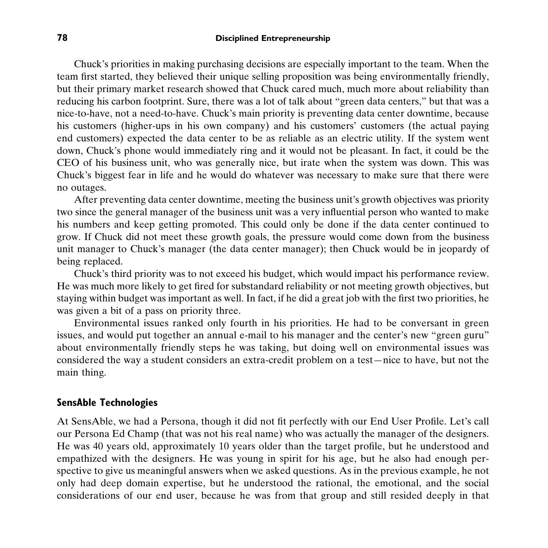#### 78 Disciplined Entrepreneurship

Chuck's priorities in making purchasing decisions are especially important to the team. When the team first started, they believed their unique selling proposition was being environmentally friendly, but their primary market research showed that Chuck cared much, much more about reliability than reducing his carbon footprint. Sure, there was a lot of talk about "green data centers," but that was a nice-to-have, not a need-to-have. Chuck's main priority is preventing data center downtime, because his customers (higher-ups in his own company) and his customers' customers (the actual paying end customers) expected the data center to be as reliable as an electric utility. If the system went down, Chuck's phone would immediately ring and it would not be pleasant. In fact, it could be the CEO of his business unit, who was generally nice, but irate when the system was down. This was Chuck's biggest fear in life and he would do whatever was necessary to make sure that there were no outages.

After preventing data center downtime, meeting the business unit's growth objectives was priority two since the general manager of the business unit was a very influential person who wanted to make his numbers and keep getting promoted. This could only be done if the data center continued to grow. If Chuck did not meet these growth goals, the pressure would come down from the business unit manager to Chuck's manager (the data center manager); then Chuck would be in jeopardy of being replaced.

Chuck's third priority was to not exceed his budget, which would impact his performance review. He was much more likely to get fired for substandard reliability or not meeting growth objectives, but staying within budget was important as well. In fact, if he did a great job with the first two priorities, he was given a bit of a pass on priority three.

Environmental issues ranked only fourth in his priorities. He had to be conversant in green issues, and would put together an annual e-mail to his manager and the center's new "green guru" about environmentally friendly steps he was taking, but doing well on environmental issues was considered the way a student considers an extra-credit problem on a test—nice to have, but not the main thing.

#### SensAble Technologies

At SensAble, we had a Persona, though it did not fit perfectly with our End User Profile. Let's call our Persona Ed Champ (that was not his real name) who was actually the manager of the designers. He was 40 years old, approximately 10 years older than the target profile, but he understood and empathized with the designers. He was young in spirit for his age, but he also had enough perspective to give us meaningful answers when we asked questions. As in the previous example, he not only had deep domain expertise, but he understood the rational, the emotional, and the social considerations of our end user, because he was from that group and still resided deeply in that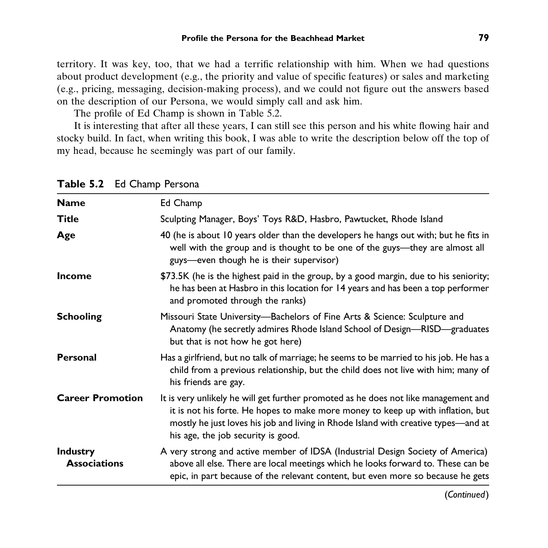territory. It was key, too, that we had a terrific relationship with him. When we had questions about product development (e.g., the priority and value of specific features) or sales and marketing (e.g., pricing, messaging, decision-making process), and we could not figure out the answers based on the description of our Persona, we would simply call and ask him.

The profile of Ed Champ is shown in Table 5.2.

It is interesting that after all these years, I can still see this person and his white flowing hair and stocky build. In fact, when writing this book, I was able to write the description below off the top of my head, because he seemingly was part of our family.

| <b>Name</b>                            | Ed Champ                                                                                                                                                                                                                                                                                           |  |  |
|----------------------------------------|----------------------------------------------------------------------------------------------------------------------------------------------------------------------------------------------------------------------------------------------------------------------------------------------------|--|--|
| Title                                  | Sculpting Manager, Boys' Toys R&D, Hasbro, Pawtucket, Rhode Island                                                                                                                                                                                                                                 |  |  |
| Age                                    | 40 (he is about 10 years older than the developers he hangs out with; but he fits in<br>well with the group and is thought to be one of the guys-they are almost all<br>guys-even though he is their supervisor)                                                                                   |  |  |
| <b>Income</b>                          | \$73.5K (he is the highest paid in the group, by a good margin, due to his seniority;<br>he has been at Hasbro in this location for 14 years and has been a top performer<br>and promoted through the ranks)                                                                                       |  |  |
| <b>Schooling</b>                       | Missouri State University-Bachelors of Fine Arts & Science: Sculpture and<br>Anatomy (he secretly admires Rhode Island School of Design-RISD-graduates<br>but that is not how he got here)                                                                                                         |  |  |
| <b>Personal</b>                        | Has a girlfriend, but no talk of marriage; he seems to be married to his job. He has a<br>child from a previous relationship, but the child does not live with him; many of<br>his friends are gay.                                                                                                |  |  |
| <b>Career Promotion</b>                | It is very unlikely he will get further promoted as he does not like management and<br>it is not his forte. He hopes to make more money to keep up with inflation, but<br>mostly he just loves his job and living in Rhode Island with creative types—and at<br>his age, the job security is good. |  |  |
| <b>Industry</b><br><b>Associations</b> | A very strong and active member of IDSA (Industrial Design Society of America)<br>above all else. There are local meetings which he looks forward to. These can be<br>epic, in part because of the relevant content, but even more so because he gets                                              |  |  |

|  |  |  |  | Table 5.2 Ed Champ Persona |
|--|--|--|--|----------------------------|
|--|--|--|--|----------------------------|

(Continued)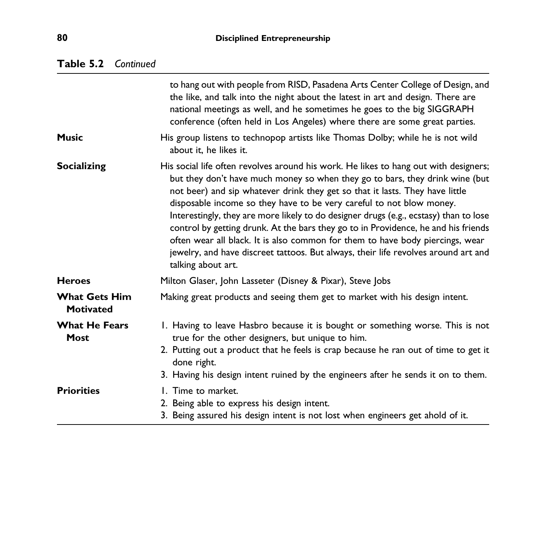## Table 5.2 Continued

|                                          | to hang out with people from RISD, Pasadena Arts Center College of Design, and<br>the like, and talk into the night about the latest in art and design. There are<br>national meetings as well, and he sometimes he goes to the big SIGGRAPH<br>conference (often held in Los Angeles) where there are some great parties.                                                                                                                                                                                                                                                                                                                                                                               |  |  |
|------------------------------------------|----------------------------------------------------------------------------------------------------------------------------------------------------------------------------------------------------------------------------------------------------------------------------------------------------------------------------------------------------------------------------------------------------------------------------------------------------------------------------------------------------------------------------------------------------------------------------------------------------------------------------------------------------------------------------------------------------------|--|--|
| <b>Music</b>                             | His group listens to technopop artists like Thomas Dolby; while he is not wild<br>about it, he likes it.                                                                                                                                                                                                                                                                                                                                                                                                                                                                                                                                                                                                 |  |  |
| <b>Socializing</b>                       | His social life often revolves around his work. He likes to hang out with designers;<br>but they don't have much money so when they go to bars, they drink wine (but<br>not beer) and sip whatever drink they get so that it lasts. They have little<br>disposable income so they have to be very careful to not blow money.<br>Interestingly, they are more likely to do designer drugs (e.g., ecstasy) than to lose<br>control by getting drunk. At the bars they go to in Providence, he and his friends<br>often wear all black. It is also common for them to have body piercings, wear<br>jewelry, and have discreet tattoos. But always, their life revolves around art and<br>talking about art. |  |  |
| <b>Heroes</b>                            | Milton Glaser, John Lasseter (Disney & Pixar), Steve Jobs                                                                                                                                                                                                                                                                                                                                                                                                                                                                                                                                                                                                                                                |  |  |
| <b>What Gets Him</b><br><b>Motivated</b> | Making great products and seeing them get to market with his design intent.                                                                                                                                                                                                                                                                                                                                                                                                                                                                                                                                                                                                                              |  |  |
| <b>What He Fears</b><br>Most             | 1. Having to leave Hasbro because it is bought or something worse. This is not<br>true for the other designers, but unique to him.<br>2. Putting out a product that he feels is crap because he ran out of time to get it<br>done right.<br>3. Having his design intent ruined by the engineers after he sends it on to them.                                                                                                                                                                                                                                                                                                                                                                            |  |  |
| <b>Priorities</b>                        | 1. Time to market.<br>2. Being able to express his design intent.<br>3. Being assured his design intent is not lost when engineers get ahold of it.                                                                                                                                                                                                                                                                                                                                                                                                                                                                                                                                                      |  |  |